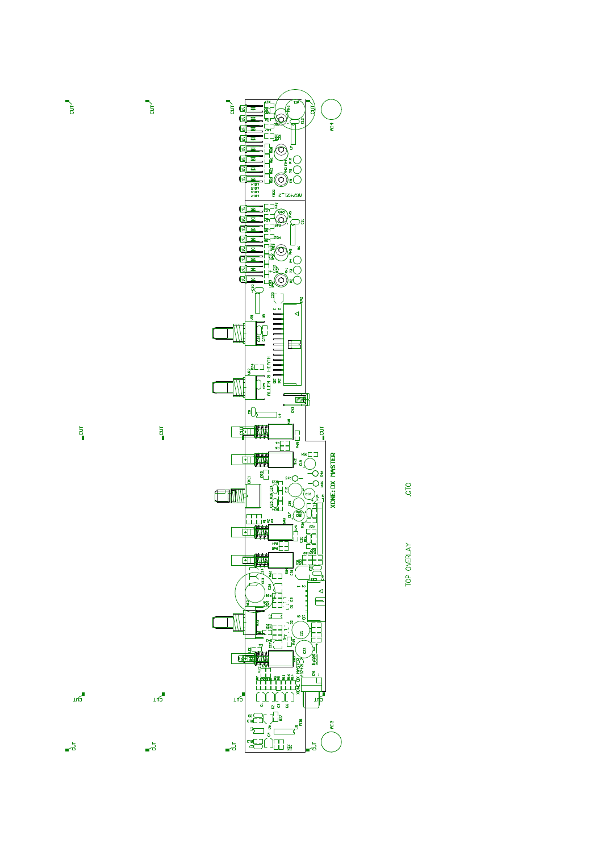



 $=$   $\overline{a}$ 

 $m<sub>o</sub>$ 

 $\mathbf{e}^{\frac{1}{2}}$ 

 $\frac{1}{2}$ 

 $m<sup>2</sup>$ 

 $\overline{5}$ 

 $\overline{\phantom{a}}$ 

 $\overline{a}$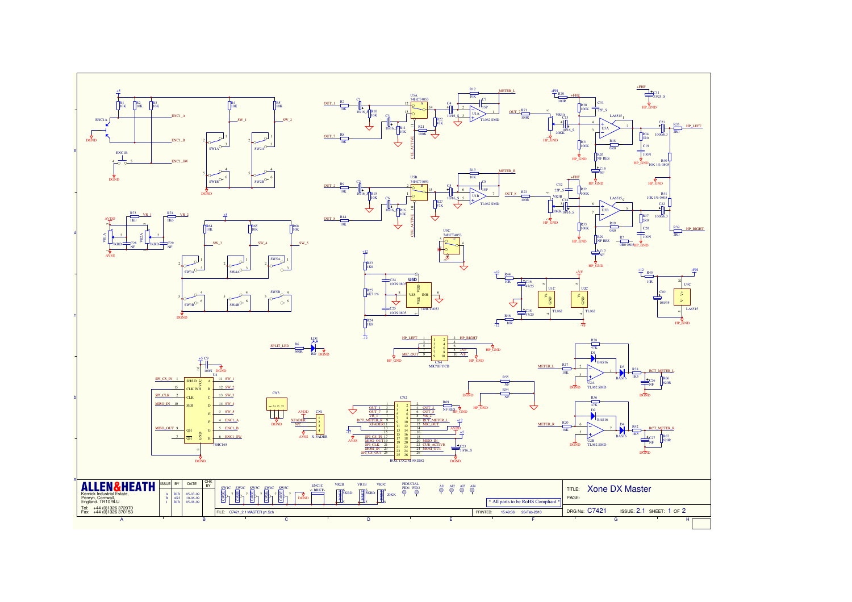